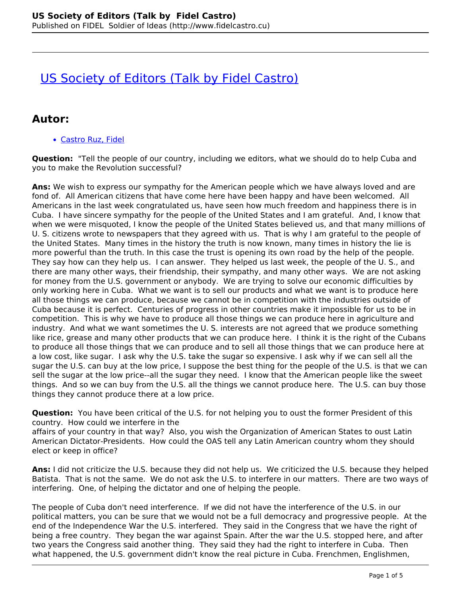# **[US Society of Editors \(Talk by Fidel Castro\)](http://www.fidelcastro.cu/en/entrevistas/us-society-editors-talk-fidel-castro)**

### **Autor:**

Castro Ruz, Fidel

**Question:** "Tell the people of our country, including we editors, what we should do to help Cuba and you to make the Revolution successful?

**Ans:** We wish to express our sympathy for the American people which we have always loved and are fond of. All American citizens that have come here have been happy and have been welcomed. All Americans in the last week congratulated us, have seen how much freedom and happiness there is in Cuba. I have sincere sympathy for the people of the United States and I am grateful. And, I know that when we were misquoted, I know the people of the United States believed us, and that many millions of U. S. citizens wrote to newspapers that they agreed with us. That is why I am grateful to the people of the United States. Many times in the history the truth is now known, many times in history the lie is more powerful than the truth. In this case the trust is opening its own road by the help of the people. They say how can they help us. I can answer. They helped us last week, the people of the U. S., and there are many other ways, their friendship, their sympathy, and many other ways. We are not asking for money from the U.S. government or anybody. We are trying to solve our economic difficulties by only working here in Cuba. What we want is to sell our products and what we want is to produce here all those things we can produce, because we cannot be in competition with the industries outside of Cuba because it is perfect. Centuries of progress in other countries make it impossible for us to be in competition. This is why we have to produce all those things we can produce here in agriculture and industry. And what we want sometimes the U. S. interests are not agreed that we produce something like rice, grease and many other products that we can produce here. I think it is the right of the Cubans to produce all those things that we can produce and to sell all those things that we can produce here at a low cost, like sugar. I ask why the U.S. take the sugar so expensive. I ask why if we can sell all the sugar the U.S. can buy at the low price, I suppose the best thing for the people of the U.S. is that we can sell the sugar at the low price--all the sugar they need. I know that the American people like the sweet things. And so we can buy from the U.S. all the things we cannot produce here. The U.S. can buy those things they cannot produce there at a low price.

**Question:** You have been critical of the U.S. for not helping you to oust the former President of this country. How could we interfere in the

affairs of your country in that way? Also, you wish the Organization of American States to oust Latin American Dictator-Presidents. How could the OAS tell any Latin American country whom they should elect or keep in office?

**Ans:** I did not criticize the U.S. because they did not help us. We criticized the U.S. because they helped Batista. That is not the same. We do not ask the U.S. to interfere in our matters. There are two ways of interfering. One, of helping the dictator and one of helping the people.

The people of Cuba don't need interference. If we did not have the interference of the U.S. in our political matters, you can be sure that we would not be a full democracy and progressive people. At the end of the Independence War the U.S. interfered. They said in the Congress that we have the right of being a free country. They began the war against Spain. After the war the U.S. stopped here, and after two years the Congress said another thing. They said they had the right to interfere in Cuba. Then what happened, the U.S. government didn't know the real picture in Cuba. Frenchmen, Englishmen,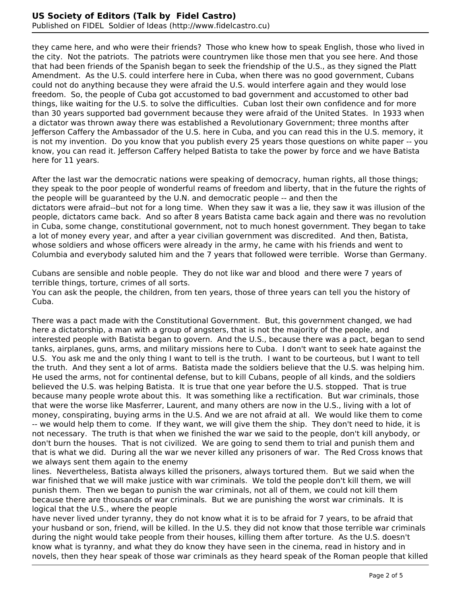#### **US Society of Editors (Talk by Fidel Castro)** Published on FIDEL Soldier of Ideas (http://www.fidelcastro.cu)

they came here, and who were their friends? Those who knew how to speak English, those who lived in the city. Not the patriots. The patriots were countrymen like those men that you see here. And those that had been friends of the Spanish began to seek the friendship of the U.S., as they signed the Platt Amendment. As the U.S. could interfere here in Cuba, when there was no good government, Cubans could not do anything because they were afraid the U.S. would interfere again and they would lose freedom. So, the people of Cuba got accustomed to bad government and accustomed to other bad things, like waiting for the U.S. to solve the difficulties. Cuban lost their own confidence and for more than 30 years supported bad government because they were afraid of the United States. In 1933 when a dictator was thrown away there was established a Revolutionary Government; three months after Jefferson Caffery the Ambassador of the U.S. here in Cuba, and you can read this in the U.S. memory, it is not my invention. Do you know that you publish every 25 years those questions on white paper -- you know, you can read it. Jefferson Caffery helped Batista to take the power by force and we have Batista here for 11 years.

After the last war the democratic nations were speaking of democracy, human rights, all those things; they speak to the poor people of wonderful reams of freedom and liberty, that in the future the rights of the people will be guaranteed by the U.N. and democratic people -- and then the dictators were afraid--but not for a long time. When they saw it was a lie, they saw it was illusion of the people, dictators came back. And so after 8 years Batista came back again and there was no revolution in Cuba, some change, constitutional government, not to much honest government. They began to take a lot of money every year, and after a year civilian government was discredited. And then, Batista, whose soldiers and whose officers were already in the army, he came with his friends and went to Columbia and everybody saluted him and the 7 years that followed were terrible. Worse than Germany.

Cubans are sensible and noble people. They do not like war and blood and there were 7 years of terrible things, torture, crimes of all sorts.

You can ask the people, the children, from ten years, those of three years can tell you the history of Cuba.

There was a pact made with the Constitutional Government. But, this government changed, we had here a dictatorship, a man with a group of angsters, that is not the majority of the people, and interested people with Batista began to govern. And the U.S., because there was a pact, began to send tanks, airplanes, guns, arms, and military missions here to Cuba. I don't want to seek hate against the U.S. You ask me and the only thing I want to tell is the truth. I want to be courteous, but I want to tell the truth. And they sent a lot of arms. Batista made the soldiers believe that the U.S. was helping him. He used the arms, not for continental defense, but to kill Cubans, people of all kinds, and the soldiers believed the U.S. was helping Batista. It is true that one year before the U.S. stopped. That is true because many people wrote about this. It was something like a rectification. But war criminals, those that were the worse like Masferrer, Laurent, and many others are now in the U.S., living with a lot of money, conspirating, buying arms in the U.S. And we are not afraid at all. We would like them to come -- we would help them to come. If they want, we will give them the ship. They don't need to hide, it is not necessary. The truth is that when we finished the war we said to the people, don't kill anybody, or don't burn the houses. That is not civilized. We are going to send them to trial and punish them and that is what we did. During all the war we never killed any prisoners of war. The Red Cross knows that we always sent them again to the enemy

lines. Nevertheless, Batista always killed the prisoners, always tortured them. But we said when the war finished that we will make justice with war criminals. We told the people don't kill them, we will punish them. Then we began to punish the war criminals, not all of them, we could not kill them because there are thousands of war criminals. But we are punishing the worst war criminals. It is logical that the U.S., where the people

have never lived under tyranny, they do not know what it is to be afraid for 7 years, to be afraid that your husband or son, friend, will be killed. In the U.S. they did not know that those terrible war criminals during the night would take people from their houses, killing them after torture. As the U.S. doesn't know what is tyranny, and what they do know they have seen in the cinema, read in history and in novels, then they hear speak of those war criminals as they heard speak of the Roman people that killed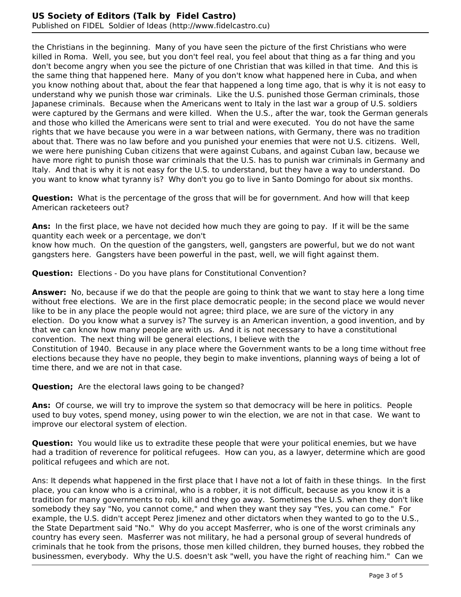the Christians in the beginning. Many of you have seen the picture of the first Christians who were killed in Roma. Well, you see, but you don't feel real, you feel about that thing as a far thing and you don't become angry when you see the picture of one Christian that was killed in that time. And this is the same thing that happened here. Many of you don't know what happened here in Cuba, and when you know nothing about that, about the fear that happened a long time ago, that is why it is not easy to understand why we punish those war criminals. Like the U.S. punished those German criminals, those Japanese criminals. Because when the Americans went to Italy in the last war a group of U.S. soldiers were captured by the Germans and were killed. When the U.S., after the war, took the German generals and those who killed the Americans were sent to trial and were executed. You do not have the same rights that we have because you were in a war between nations, with Germany, there was no tradition about that. There was no law before and you punished your enemies that were not U.S. citizens. Well, we were here punishing Cuban citizens that were against Cubans, and against Cuban law, because we have more right to punish those war criminals that the U.S. has to punish war criminals in Germany and Italy. And that is why it is not easy for the U.S. to understand, but they have a way to understand. Do you want to know what tyranny is? Why don't you go to live in Santo Domingo for about six months.

**Question:** What is the percentage of the gross that will be for government. And how will that keep American racketeers out?

**Ans:** In the first place, we have not decided how much they are going to pay. If it will be the same quantity each week or a percentage, we don't

know how much. On the question of the gangsters, well, gangsters are powerful, but we do not want gangsters here. Gangsters have been powerful in the past, well, we will fight against them.

**Question:** Elections - Do you have plans for Constitutional Convention?

**Answer:** No, because if we do that the people are going to think that we want to stay here a long time without free elections. We are in the first place democratic people; in the second place we would never like to be in any place the people would not agree; third place, we are sure of the victory in any election. Do you know what a survey is? The survey is an American invention, a good invention, and by that we can know how many people are with us. And it is not necessary to have a constitutional convention. The next thing will be general elections, I believe with the Constitution of 1940. Because in any place where the Government wants to be a long time without free elections because they have no people, they begin to make inventions, planning ways of being a lot of time there, and we are not in that case.

**Question;** Are the electoral laws going to be changed?

**Ans:** Of course, we will try to improve the system so that democracy will be here in politics. People used to buy votes, spend money, using power to win the election, we are not in that case. We want to improve our electoral system of election.

**Question:** You would like us to extradite these people that were your political enemies, but we have had a tradition of reverence for political refugees. How can you, as a lawyer, determine which are good political refugees and which are not.

Ans: It depends what happened in the first place that I have not a lot of faith in these things. In the first place, you can know who is a criminal, who is a robber, it is not difficult, because as you know it is a tradition for many governments to rob, kill and they go away. Sometimes the U.S. when they don't like somebody they say "No, you cannot come," and when they want they say "Yes, you can come." For example, the U.S. didn't accept Perez Jimenez and other dictators when they wanted to go to the U.S., the State Department said "No." Why do you accept Masferrer, who is one of the worst criminals any country has every seen. Masferrer was not military, he had a personal group of several hundreds of criminals that he took from the prisons, those men killed children, they burned houses, they robbed the businessmen, everybody. Why the U.S. doesn't ask "well, you have the right of reaching him." Can we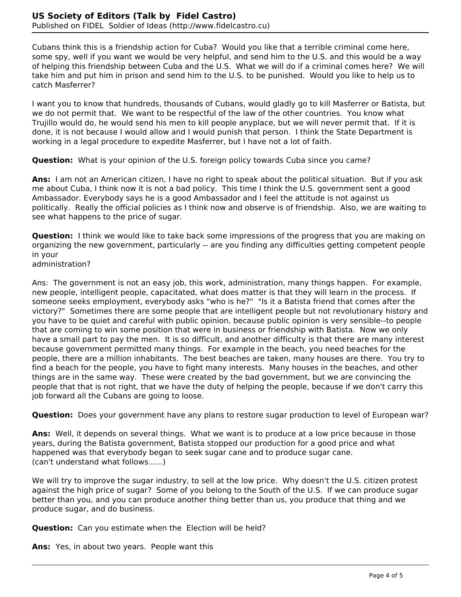Cubans think this is a friendship action for Cuba? Would you like that a terrible criminal come here, some spy, well if you want we would be very helpful, and send him to the U.S. and this would be a way of helping this friendship between Cuba and the U.S. What we will do if a criminal comes here? We will take him and put him in prison and send him to the U.S. to be punished. Would you like to help us to catch Masferrer?

I want you to know that hundreds, thousands of Cubans, would gladly go to kill Masferrer or Batista, but we do not permit that. We want to be respectful of the law of the other countries. You know what Trujillo would do, he would send his men to kill people anyplace, but we will never permit that. If it is done, it is not because I would allow and I would punish that person. I think the State Department is working in a legal procedure to expedite Masferrer, but I have not a lot of faith.

**Question:** What is your opinion of the U.S. foreign policy towards Cuba since you came?

**Ans:** I am not an American citizen, I have no right to speak about the political situation. But if you ask me about Cuba, I think now it is not a bad policy. This time I think the U.S. government sent a good Ambassador. Everybody says he is a good Ambassador and I feel the attitude is not against us politically. Really the official policies as I think now and observe is of friendship. Also, we are waiting to see what happens to the price of sugar.

**Question:** I think we would like to take back some impressions of the progress that you are making on organizing the new government, particularly -- are you finding any difficulties getting competent people in your

administration?

Ans: The government is not an easy job, this work, administration, many things happen. For example, new people, intelligent people, capacitated, what does matter is that they will learn in the process. If someone seeks employment, everybody asks "who is he?" "Is it a Batista friend that comes after the victory?" Sometimes there are some people that are intelligent people but not revolutionary history and you have to be quiet and careful with public opinion, because public opinion is very sensible--to people that are coming to win some position that were in business or friendship with Batista. Now we only have a small part to pay the men. It is so difficult, and another difficulty is that there are many interest because government permitted many things. For example in the beach, you need beaches for the people, there are a million inhabitants. The best beaches are taken, many houses are there. You try to find a beach for the people, you have to fight many interests. Many houses in the beaches, and other things are in the same way. These were created by the bad government, but we are convincing the people that that is not right, that we have the duty of helping the people, because if we don't carry this job forward all the Cubans are going to loose.

**Question:** Does your government have any plans to restore sugar production to level of European war?

**Ans:** Well, it depends on several things. What we want is to produce at a low price because in those years, during the Batista government, Batista stopped our production for a good price and what happened was that everybody began to seek sugar cane and to produce sugar cane. (can't understand what follows......)

We will try to improve the sugar industry, to sell at the low price. Why doesn't the U.S. citizen protest against the high price of sugar? Some of you belong to the South of the U.S. If we can produce sugar better than you, and you can produce another thing better than us, you produce that thing and we produce sugar, and do business.

**Question:** Can you estimate when the Election will be held?

**Ans:** Yes, in about two years. People want this